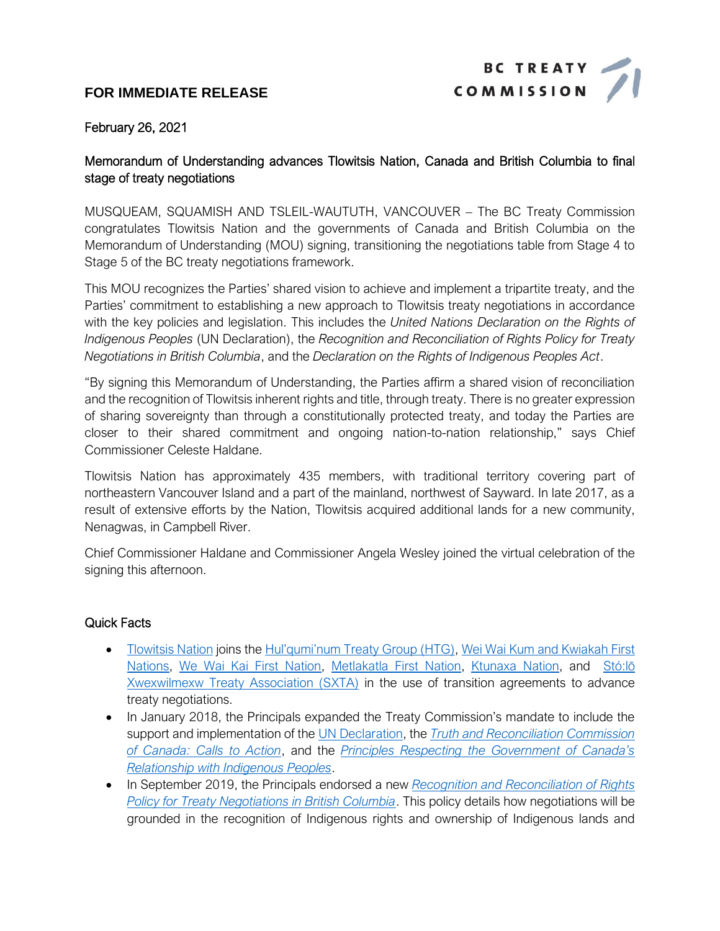# **FOR IMMEDIATE RELEASE**



#### February 26, 2021

# Memorandum of Understanding advances Tlowitsis Nation, Canada and British Columbia to final stage of treaty negotiations

MUSQUEAM, SQUAMISH AND TSLEIL-WAUTUTH, VANCOUVER – The BC Treaty Commission congratulates Tlowitsis Nation and the governments of Canada and British Columbia on the Memorandum of Understanding (MOU) signing, transitioning the negotiations table from Stage 4 to Stage 5 of the BC treaty negotiations framework.

This MOU recognizes the Parties' shared vision to achieve and implement a tripartite treaty, and the Parties' commitment to establishing a new approach to Tlowitsis treaty negotiations in accordance with the key policies and legislation. This includes the *United Nations Declaration on the Rights of Indigenous Peoples* (UN Declaration), the *Recognition and Reconciliation of Rights Policy for Treaty Negotiations in British Columbia*, and the *Declaration on the Rights of Indigenous Peoples Act*.

"By signing this Memorandum of Understanding, the Parties affirm a shared vision of reconciliation and the recognition of Tlowitsis inherent rights and title, through treaty. There is no greater expression of sharing sovereignty than through a constitutionally protected treaty, and today the Parties are closer to their shared commitment and ongoing nation-to-nation relationship," says Chief Commissioner Celeste Haldane.

Tlowitsis Nation has approximately 435 members, with traditional territory covering part of northeastern Vancouver Island and a part of the mainland, northwest of Sayward. In late 2017, as a result of extensive efforts by the Nation, Tlowitsis acquired additional lands for a new community, Nenagwas, in Campbell River.

Chief Commissioner Haldane and Commissioner Angela Wesley joined the virtual celebration of the signing this afternoon.

# Quick Facts

- [Tlowitsis Nation](http://www.bctreaty.ca/tlowitsis-nation) joins the [Hul'qumi'num Treaty Group \(HTG\)](http://www.bctreaty.ca/hulquminum-treaty-group), [Wei Wai Kum and Kwiakah First](http://www.bctreaty.ca/wei-wai-kum-kwiakah)  [Nations,](http://www.bctreaty.ca/wei-wai-kum-kwiakah) [We Wai Kai First Nation,](http://www.bctreaty.ca/laich-kwil-tach-council-chiefs) [Metlakatla First Nation,](http://www.bctreaty.ca/tsimshian-first-nations) [Ktunaxa Nation,](http://www.bctreaty.ca/ktunaxa-nation) and [Stó:lō](http://www.bctreaty.ca/st%C3%B3l%C5%8D-xwexwilmexw-treaty-association)  [Xwexwilmexw Treaty Association \(SXTA\)](http://www.bctreaty.ca/st%C3%B3l%C5%8D-xwexwilmexw-treaty-association) in the use of transition agreements to advance treaty negotiations.
- In January 2018, the Principals expanded the Treaty Commission's mandate to include the support and implementation of th[e UN Declaration,](https://www.un.org/esa/socdev/unpfii/documents/DRIPS_en.pdf) the *[Truth and Reconciliation Commission](https://nctr.ca/map.php)  [of Canada: Calls to Action](https://nctr.ca/map.php)*, and the *[Principles Respecting the Government of Canada's](https://www.justice.gc.ca/eng/csj-sjc/principles.pdf)  [Relationship with Indigenous Peoples](https://www.justice.gc.ca/eng/csj-sjc/principles.pdf)*.
- In September 2019, the Principals endorsed a new *[Recognition and Reconciliation of](https://www2.gov.bc.ca/assets/gov/british-columbians-our-governments/indigenous-people/aboriginal-peoples-documents/recognition_and_reconciliation_of_rights_policy_for_treaty_negotiations_in_bc_aug_28_002.pdf) Rights [Policy for Treaty Negotiations in British Columbia](https://www2.gov.bc.ca/assets/gov/british-columbians-our-governments/indigenous-people/aboriginal-peoples-documents/recognition_and_reconciliation_of_rights_policy_for_treaty_negotiations_in_bc_aug_28_002.pdf)*. This policy details how negotiations will be grounded in the recognition of Indigenous rights and ownership of Indigenous lands and